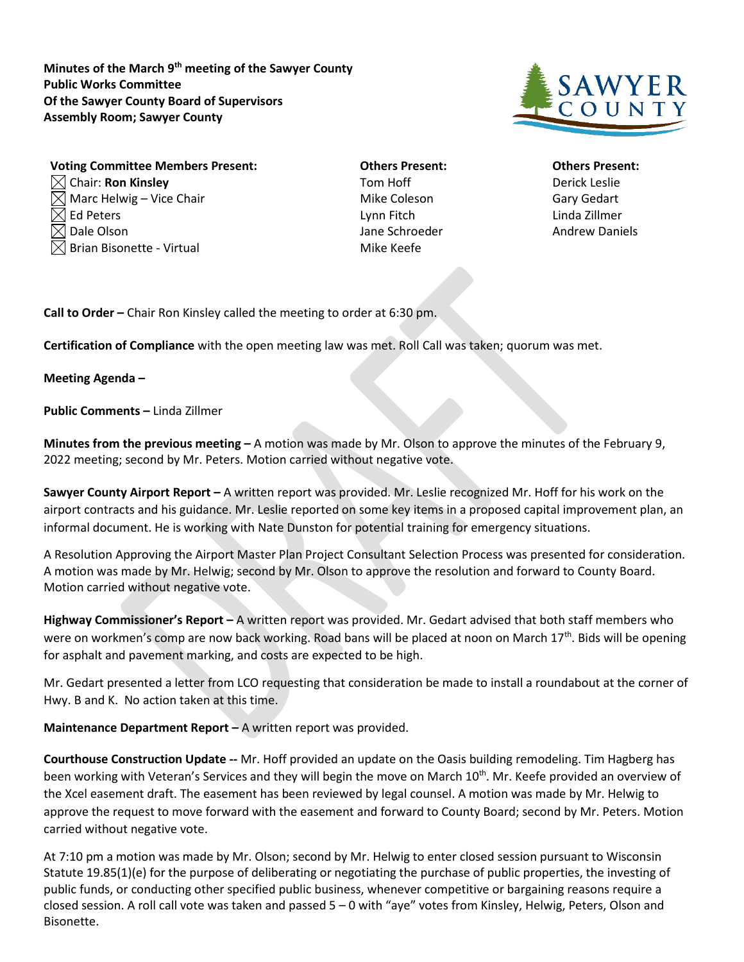**Minutes of the March 9th meeting of the Sawyer County Public Works Committee Of the Sawyer County Board of Supervisors Assembly Room; Sawyer County**



| <b>Voting Committee Members Present:</b> | <b>Others Present:</b> | <b>Others Prese</b> |
|------------------------------------------|------------------------|---------------------|
| $\boxtimes$ Chair: Ron Kinsley           | Tom Hoff               | Derick Leslie       |
| $\boxtimes$ Marc Helwig – Vice Chair     | Mike Coleson           | <b>Gary Gedart</b>  |
| $\boxtimes$ Ed Peters                    | Lynn Fitch             | Linda Zillmer       |
| $\boxtimes$ Dale Olson                   | Jane Schroeder         | <b>Andrew Dani</b>  |
| $\boxtimes$ Brian Bisonette - Virtual    | Mike Keefe             |                     |

**Vothers Present: Committee Committee Committee Department: Others Present: Jane Schroeder Andrew Daniels** 

**Call to Order –** Chair Ron Kinsley called the meeting to order at 6:30 pm.

**Certification of Compliance** with the open meeting law was met. Roll Call was taken; quorum was met.

## **Meeting Agenda –**

**Public Comments –** Linda Zillmer

**Minutes from the previous meeting –** A motion was made by Mr. Olson to approve the minutes of the February 9, 2022 meeting; second by Mr. Peters. Motion carried without negative vote.

**Sawyer County Airport Report –** A written report was provided. Mr. Leslie recognized Mr. Hoff for his work on the airport contracts and his guidance. Mr. Leslie reported on some key items in a proposed capital improvement plan, an informal document. He is working with Nate Dunston for potential training for emergency situations.

A Resolution Approving the Airport Master Plan Project Consultant Selection Process was presented for consideration. A motion was made by Mr. Helwig; second by Mr. Olson to approve the resolution and forward to County Board. Motion carried without negative vote.

**Highway Commissioner's Report –** A written report was provided. Mr. Gedart advised that both staff members who were on workmen's comp are now back working. Road bans will be placed at noon on March 17<sup>th</sup>. Bids will be opening for asphalt and pavement marking, and costs are expected to be high.

Mr. Gedart presented a letter from LCO requesting that consideration be made to install a roundabout at the corner of Hwy. B and K. No action taken at this time.

**Maintenance Department Report –** A written report was provided.

**Courthouse Construction Update --** Mr. Hoff provided an update on the Oasis building remodeling. Tim Hagberg has been working with Veteran's Services and they will begin the move on March 10<sup>th</sup>. Mr. Keefe provided an overview of the Xcel easement draft. The easement has been reviewed by legal counsel. A motion was made by Mr. Helwig to approve the request to move forward with the easement and forward to County Board; second by Mr. Peters. Motion carried without negative vote.

At 7:10 pm a motion was made by Mr. Olson; second by Mr. Helwig to enter closed session pursuant to Wisconsin Statute 19.85(1)(e) for the purpose of deliberating or negotiating the purchase of public properties, the investing of public funds, or conducting other specified public business, whenever competitive or bargaining reasons require a closed session. A roll call vote was taken and passed 5 – 0 with "aye" votes from Kinsley, Helwig, Peters, Olson and Bisonette.